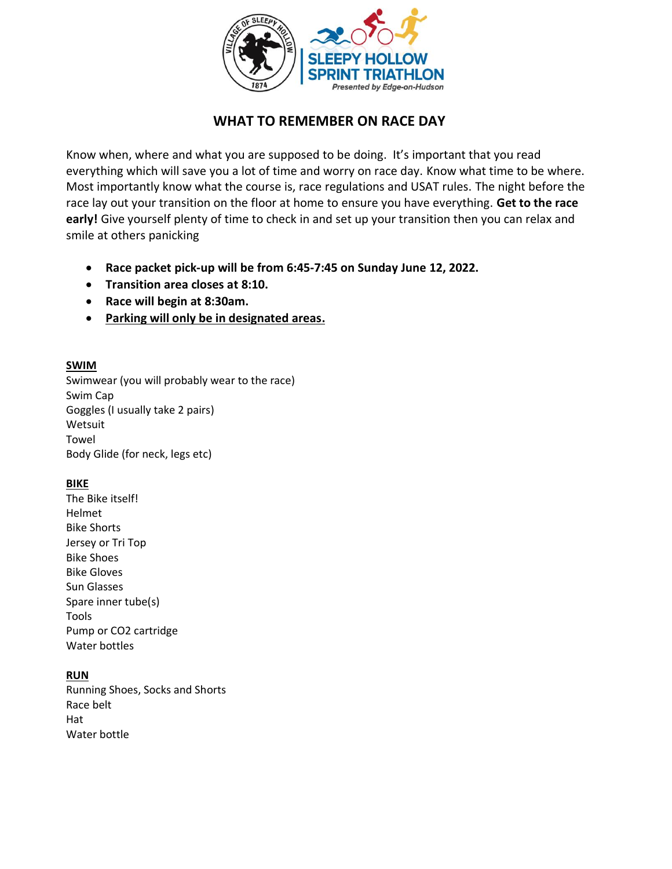

# **WHAT TO REMEMBER ON RACE DAY**

Know when, where and what you are supposed to be doing. It's important that you read everything which will save you a lot of time and worry on race day. Know what time to be where. Most importantly know what the course is, race regulations and USAT rules. The night before the race lay out your transition on the floor at home to ensure you have everything. **Get to the race early!** Give yourself plenty of time to check in and set up your transition then you can relax and smile at others panicking

- **Race packet pick-up will be from 6:45-7:45 on Sunday June 12, 2022.**
- **Transition area closes at 8:10.**
- **Race will begin at 8:30am.**
- **Parking will only be in designated areas.**

# **SWIM**

Swimwear (you will probably wear to the race) Swim Cap Goggles (I usually take 2 pairs) Wetsuit Towel Body Glide (for neck, legs etc)

# **BIKE**

The Bike itself! Helmet Bike Shorts Jersey or Tri Top Bike Shoes Bike Gloves Sun Glasses Spare inner tube(s) Tools Pump or CO2 cartridge Water bottles

# **RUN**

Running Shoes, Socks and Shorts Race belt Hat Water bottle